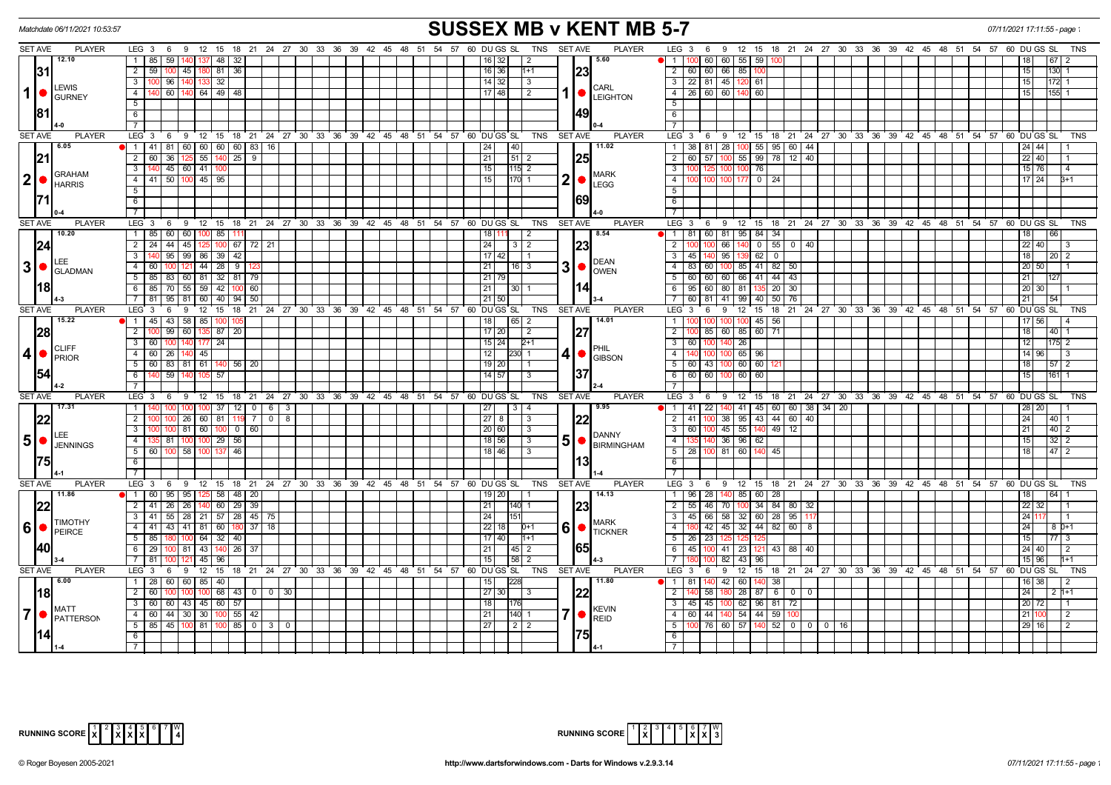| <b>SUSSEX MB v KENT MB 5-7</b><br>Matchdate 06/11/2021 10:53:57<br>07/11/2021 17:11:55 - page                                                                                  |                                                                                                           |                                                                                                         |                                                                                      |                           |  |  |  |  |  |  |  |  |  |
|--------------------------------------------------------------------------------------------------------------------------------------------------------------------------------|-----------------------------------------------------------------------------------------------------------|---------------------------------------------------------------------------------------------------------|--------------------------------------------------------------------------------------|---------------------------|--|--|--|--|--|--|--|--|--|
| <b>SET AVE</b><br><b>PLAYER</b>                                                                                                                                                | LEG 3 6 9 12 15 18 21 24 27 30 33 36 39 42 45 48 51 54 57 60 DUGS SL TNS SETAVE                           | <b>PLAYER</b>                                                                                           | LEG 3 6 9 12 15 18 21 24 27 30 33 36 39 42 45 48 51 54 57 60 DUGS SL                 | TNS                       |  |  |  |  |  |  |  |  |  |
| 12.10                                                                                                                                                                          | 1 85 59<br>140 137 48 32                                                                                  | 15.60<br>16 32<br>$\overline{2}$                                                                        | 100 60 60 55 59 100<br>$\bullet$ 1 $\hspace{0.1mm}$                                  | 18<br>  67                |  |  |  |  |  |  |  |  |  |
| <b>131</b>                                                                                                                                                                     | 45 180 81 36<br>2   59   100                                                                              | 23<br>16 36 <br>$1 + 1$                                                                                 | 2 60 60 66 85 100                                                                    | 15<br>130                 |  |  |  |  |  |  |  |  |  |
| <b>LEWIS</b>                                                                                                                                                                   | 3 100 96<br>140 133 32                                                                                    | 14 32<br>$\vert$ 3<br><b>I</b> CARL                                                                     | 3 22 81 45 120<br>  61                                                               | 15<br>172                 |  |  |  |  |  |  |  |  |  |
| $1$ $\bullet$<br><b>GURNEY</b>                                                                                                                                                 | 4   140   60   140   64   49   48                                                                         | $17$ 48<br>$\vert$ 2<br>1   <b>C</b> LEIGHTON                                                           | 4 26 60 60<br>60<br>140                                                              | 15<br>155                 |  |  |  |  |  |  |  |  |  |
|                                                                                                                                                                                | 5                                                                                                         |                                                                                                         | 5                                                                                    |                           |  |  |  |  |  |  |  |  |  |
| 181                                                                                                                                                                            | 6                                                                                                         | 49                                                                                                      | 6                                                                                    |                           |  |  |  |  |  |  |  |  |  |
|                                                                                                                                                                                |                                                                                                           |                                                                                                         | $\overline{7}$                                                                       |                           |  |  |  |  |  |  |  |  |  |
| <b>SET AVE</b><br><b>PLAYER</b>                                                                                                                                                | $LEG_3$ 6<br>9 12 15 18 21 24 27 30 33 36 39 42 45 48 51 54 57 60 DUGSSL                                  | TNS<br><b>SET AVE</b><br><b>PLAYER</b>                                                                  | LEG 3<br>6 9 12 15 18 21 24 27 30 33 36 39 42 45 48 51 54 57 60 DUGS SL              | <b>TNS</b>                |  |  |  |  |  |  |  |  |  |
| 6.05                                                                                                                                                                           | 1   41   81   60   60   60   60   83   16                                                                 | 11.02<br>40<br>24                                                                                       | 1 38 81 28 100 55 95 60 44                                                           | 24 44                     |  |  |  |  |  |  |  |  |  |
| 21                                                                                                                                                                             | 2 60 36 125 55 140 25 9                                                                                   | 21<br> 51 2<br> 25                                                                                      | 2 60 57 100 55 99 78 12 40                                                           | 22 40                     |  |  |  |  |  |  |  |  |  |
| <b>GRAHAM</b><br>$ 2  \bullet  $                                                                                                                                               | $3$ 140 45 60 41 100<br>4 41 50 100 45 95                                                                 | 15<br>$115$ 2<br><b>MARK</b><br>$2  \bullet  $<br>$\overline{15}$                                       | 100 76<br>$\overline{\mathbf{3}}$<br>100 125 100<br>100 100 100 177 0 24<br>$-4$     | 15 76 <br>4               |  |  |  |  |  |  |  |  |  |
| <b>HARRIS</b>                                                                                                                                                                  | -5 I                                                                                                      | $170$ 1<br><b>LEGG</b>                                                                                  | 5                                                                                    | $17$ 24<br>$B+1$          |  |  |  |  |  |  |  |  |  |
|                                                                                                                                                                                | 6                                                                                                         | 69                                                                                                      | 6                                                                                    |                           |  |  |  |  |  |  |  |  |  |
|                                                                                                                                                                                |                                                                                                           |                                                                                                         | $\overline{7}$                                                                       |                           |  |  |  |  |  |  |  |  |  |
| <b>SET AVE</b><br><b>PLAYER</b>                                                                                                                                                | $LEG_3$ 6<br>0 12 15 18 21 24 27 30 33 36 39 42 45 48 51 54 57 60 DUGS SL                                 | TNS<br><b>SET AVE</b><br><b>PLAYER</b>                                                                  | LEG <sup>3</sup><br>6 9 12 15 18 21 24 27 30 33 36 39 42 45 48 51 54 57 60 DUGS SL   | <b>TNS</b>                |  |  |  |  |  |  |  |  |  |
| 10.20                                                                                                                                                                          | $\overline{1}$<br>85 60 60 100 85                                                                         | 8.54<br>18<br>$\overline{2}$                                                                            | 1 81 60 81 95 84 34                                                                  | 18<br>66                  |  |  |  |  |  |  |  |  |  |
| 24                                                                                                                                                                             | 2 24 44 45<br>$67$ 72 21<br>100                                                                           | 23<br>24<br> 3 2                                                                                        | $\overline{2}$<br>66<br>$0$ 55 $0$ 40                                                | 22 40                     |  |  |  |  |  |  |  |  |  |
|                                                                                                                                                                                | 3   140   95   99   86   39   42                                                                          | $17$ 42                                                                                                 | 45 140 95<br>$\overline{3}$<br>$62 \mid 0$                                           | 18 <br>$\vert 20 \vert 2$ |  |  |  |  |  |  |  |  |  |
| LEE<br>$3\bullet$                                                                                                                                                              | 4<br>$121$ 44 28 9<br>60                                                                                  | $30$ $\sim$<br>21<br>$16 \mid 3$                                                                        | 83<br>60 100 85 41 82<br>50                                                          | 20 50                     |  |  |  |  |  |  |  |  |  |
| <b>GLADMAN</b>                                                                                                                                                                 | 5   85   83   60   81   32   81   79                                                                      | $21$ 79                                                                                                 | 60 60 60 66 41 44 43                                                                 | 21                        |  |  |  |  |  |  |  |  |  |
| 118                                                                                                                                                                            | 85 70 55 59 42<br>6<br>100 60                                                                             | 1141<br>21<br>$30 \mid 1$                                                                               | $95 \mid 60 \mid 80 \mid 81 \mid 135 \mid 20 \mid$<br>6<br>30                        | 20 30                     |  |  |  |  |  |  |  |  |  |
|                                                                                                                                                                                | 7 81 95 81 60 40 94 50                                                                                    | 21 50                                                                                                   | 60 81 41 99 40 50<br>$\overline{7}$<br>76                                            | 21                        |  |  |  |  |  |  |  |  |  |
| <b>SET AVE</b><br><b>PLAYER</b>                                                                                                                                                | 9 12 15 18 21 24 27 30 33 36 39 42 45 48 51 54 57 60 DUGS SL<br>$LEG_3$ 6                                 | TNS<br><b>SET AVE</b><br><b>PLAYER</b>                                                                  | 6 9 12 15 18 21 24 27 30 33 36 39 42 45 48 51 54 57 60 DUGS SL<br>LEG <sub>3</sub>   | <b>TNS</b>                |  |  |  |  |  |  |  |  |  |
| 15.22                                                                                                                                                                          | $\bullet$ 1 45 43<br>58 85 100                                                                            | 14.01<br>18<br>65 2                                                                                     | 45 56<br>100                                                                         | 17   56                   |  |  |  |  |  |  |  |  |  |
| 28                                                                                                                                                                             | 2 100 99<br>60 135 87<br>-20                                                                              | 27<br>17 20<br>$\overline{2}$                                                                           | $\overline{2}$<br>85 60 85 60 71                                                     | 18<br>40                  |  |  |  |  |  |  |  |  |  |
| <b>CLIFF</b>                                                                                                                                                                   | 140 177 24<br>3 60                                                                                        | $15 \mid 24 \mid$<br>$2+1$                                                                              | 60 100 140 26<br>$\overline{\mathbf{3}}$                                             | 12<br>$\overline{2}$      |  |  |  |  |  |  |  |  |  |
| 4 • <br>PRIOR                                                                                                                                                                  | 4 60 26<br>$140$ 45                                                                                       | 12 <br>4 ●<br>$230$ 1<br><b>GIBSON</b>                                                                  | 140 100 100 65 96<br>$\overline{4}$                                                  | 14   96  <br>3            |  |  |  |  |  |  |  |  |  |
|                                                                                                                                                                                | 5 60 83 81 61 140 56 20                                                                                   | 19 20<br>I 1                                                                                            | 5 60 43 100 60 60                                                                    | 18 <br> 57 2              |  |  |  |  |  |  |  |  |  |
|                                                                                                                                                                                | 6 140 59<br>140 105 57                                                                                    | 37<br>$14$ 57<br>$\overline{3}$                                                                         | 6 60 60 100 60 60                                                                    | 15<br>1611                |  |  |  |  |  |  |  |  |  |
|                                                                                                                                                                                |                                                                                                           |                                                                                                         | $\overline{7}$                                                                       |                           |  |  |  |  |  |  |  |  |  |
| <b>PLAYER</b><br><b>SET AVE</b><br>17.31                                                                                                                                       | $LEG_3$ 6<br>$12 \quad 15$<br>18 21 24 27 30 33 36 39 42 45 48 51 54 57 60 DUGS SL<br>- 9                 | <b>SET AVE</b><br><b>PLAYER</b><br><b>TNS</b><br>9.95                                                   | LEG <sub>3</sub><br>69<br>12 15 18 21 24 27 30 33 36 39 42 45 48 51 54 57 60 DUGS SL | TNS                       |  |  |  |  |  |  |  |  |  |
|                                                                                                                                                                                | $100$ $100$ $37$ $12$ $0$ $6$ $3$<br>1   140<br>26   60   81<br>$\overline{2}$<br>$\overline{7}$<br>$0$ 8 | $\begin{array}{ c c c c c } \hline 3 & 4 \\ \hline \end{array}$<br> 27 <br>27   8                       | 41 100 38 95 43 44 60 40<br>$\overline{2}$                                           | 28 20 <br> 24 <br>40      |  |  |  |  |  |  |  |  |  |
| 22                                                                                                                                                                             | 81 60 100 0 60 <br>3 100 100                                                                              | 22<br>$\vert$ 3<br>20 60<br>$\overline{3}$                                                              | $3$ 60 100 45 55 140 49 12                                                           | 21 <br>$\vert 40 \vert 2$ |  |  |  |  |  |  |  |  |  |
| LEE.<br>$5$ $\bullet$                                                                                                                                                          | 4   135   81   100   100   29   56                                                                        | DANNY<br>18 56<br>$\vert$ 3                                                                             | 4 135 140 36 96 62                                                                   | 15 <br>$32$   2           |  |  |  |  |  |  |  |  |  |
| <b>JENNINGS</b>                                                                                                                                                                | 5   60   100   58   100   137<br>46                                                                       | 5     BIRMINGHAM<br>$18$   46 <br>$\overline{1}$ 3                                                      | 5 28 100 81 60 140 45                                                                | 18 <br>  47   2           |  |  |  |  |  |  |  |  |  |
| <b>ט</b>                                                                                                                                                                       | 6                                                                                                         | 13                                                                                                      | 6                                                                                    |                           |  |  |  |  |  |  |  |  |  |
|                                                                                                                                                                                | 7 <sup>1</sup>                                                                                            |                                                                                                         | $\overline{7}$                                                                       |                           |  |  |  |  |  |  |  |  |  |
| <b>PLAYER</b><br><b>SET AVE</b>                                                                                                                                                | LEG 3 6 9 12 15 18 21 24 27 30 33 36 39 42 45 48 51 54 57 60 DUGS SL TNS                                  | <b>PLAYER</b><br>SET AVE                                                                                | LEG 3 6 9 12 15 18 21 24 27 30 33 36 39 42 45 48 51 54 57 60 DUGS SL                 | <b>TNS</b>                |  |  |  |  |  |  |  |  |  |
| 11.86                                                                                                                                                                          | 1   60   95   95   125   58   48   20                                                                     | $19$   20  <br>14.13<br>$\overline{11}$                                                                 | 1 96 28 140 85 60 28                                                                 | 18 <br>$\overline{64}$    |  |  |  |  |  |  |  |  |  |
| 122                                                                                                                                                                            | 2 41 26 26 140 60 29 39                                                                                   | 23 <br>21<br>140 1                                                                                      | $\overline{55}$ 46 70 100 34 84 80 32<br>$\overline{2}$                              | 22 32                     |  |  |  |  |  |  |  |  |  |
|                                                                                                                                                                                | 3 41 55 28 21 57 28 45 75                                                                                 | 24<br>151                                                                                               | 3 45 66 58 32 60 28 95 11                                                            | 24 117                    |  |  |  |  |  |  |  |  |  |
| <b>TIMOTHY</b><br>$ 6 $ $\bullet$ $ $ $\frac{11}{11}$ PEIRCE                                                                                                                   | 4   41   43   41   81   60   180   37   18                                                                | <b>IMARK</b><br>$6$ $\bullet$ $\frac{\text{NININ}}{\text{TICKNER}}$<br>$\overline{22}$<br>18  <br>$D+1$ | 180 42 45 32 44 82 60<br>$-4$<br>$\overline{8}$                                      | 24<br>8 0+1               |  |  |  |  |  |  |  |  |  |
|                                                                                                                                                                                | $5 \mid 85$<br>$100 \ 64 \ 32 \ 40$                                                                       | 17   40  <br>$1 + 1$                                                                                    | 5<br>$26 \mid 23$                                                                    | 15<br>$77$   3            |  |  |  |  |  |  |  |  |  |
|                                                                                                                                                                                | $6 \mid 29$<br>81 43 140<br>$26 \mid 37$                                                                  | 65<br>21<br>$ 45 $ 2                                                                                    | 6<br>45 100 41 23<br>121 43 88 40                                                    | 24 40 <br>$\vert$ 2       |  |  |  |  |  |  |  |  |  |
|                                                                                                                                                                                | $7 \mid 81$<br>45<br>96                                                                                   | 15<br>$58$   2                                                                                          | $\overline{7}$<br>43<br>82<br>96                                                     | 15 96                     |  |  |  |  |  |  |  |  |  |
| <b>SET AVE</b><br><b>PLAYER</b>                                                                                                                                                | LEG 3 6 9 12 15 18 21 24 27 30 33 36 39 42 45 48 51 54 57 60 DUGS SL TNS                                  | <b>SET AVE</b><br><b>PLAYER</b>                                                                         | LEG 3 6 9 12 15 18 21 24 27 30 33 36 39 42 45 48 51 54 57 60 DUGS SL                 | <b>TNS</b>                |  |  |  |  |  |  |  |  |  |
| 6.00                                                                                                                                                                           | 1   28   60   60   85   40                                                                                | 11.80<br>15<br>1228                                                                                     | <b>1</b> 81<br>140 42 60<br>140 38                                                   | 16   38                   |  |  |  |  |  |  |  |  |  |
| I18I                                                                                                                                                                           | $2 \mid 60$<br>68 43 0 0 30<br>1001 100                                                                   | 22<br>27 30                                                                                             | $\overline{2}$<br>28 87 6<br>58 1<br>$\mathbf 0$<br>$\Omega$                         | 24<br>$2h+1$              |  |  |  |  |  |  |  |  |  |
| <b>MATT</b>                                                                                                                                                                    | 3   60   60<br>43 45 60<br>57                                                                             | 18<br>176                                                                                               | 62 96 81<br>3<br>45 45 100<br>72                                                     | 20 72                     |  |  |  |  |  |  |  |  |  |
| $\overline{7}$ $\bullet$ $\overline{P}$ $\overline{P}$ $\overline{P}$ $\overline{P}$ $\overline{P}$ $\overline{P}$ $\overline{P}$ $\overline{P}$ $\overline{P}$ $\overline{P}$ | 4 60 44 30 30 100 55 42                                                                                   | $7$ $\bullet$ $\mathsf{KEVIN}$<br>21<br>140 1<br><b>REID</b>                                            | 60 44 140 54 44 59<br>$\sim$ 4                                                       | 21  <br>2                 |  |  |  |  |  |  |  |  |  |
|                                                                                                                                                                                | $5$   85   45   100   81   100   85   0   3   0                                                           | 27<br>$\begin{array}{c c c c c} 2 & 2 \end{array}$<br> 75                                               | $100$ 76 60 57 140 52 0 0 0 0 16<br>5                                                | 29 16 <br>$\vert$ 2       |  |  |  |  |  |  |  |  |  |
|                                                                                                                                                                                | 6                                                                                                         |                                                                                                         |                                                                                      |                           |  |  |  |  |  |  |  |  |  |
|                                                                                                                                                                                |                                                                                                           |                                                                                                         |                                                                                      |                           |  |  |  |  |  |  |  |  |  |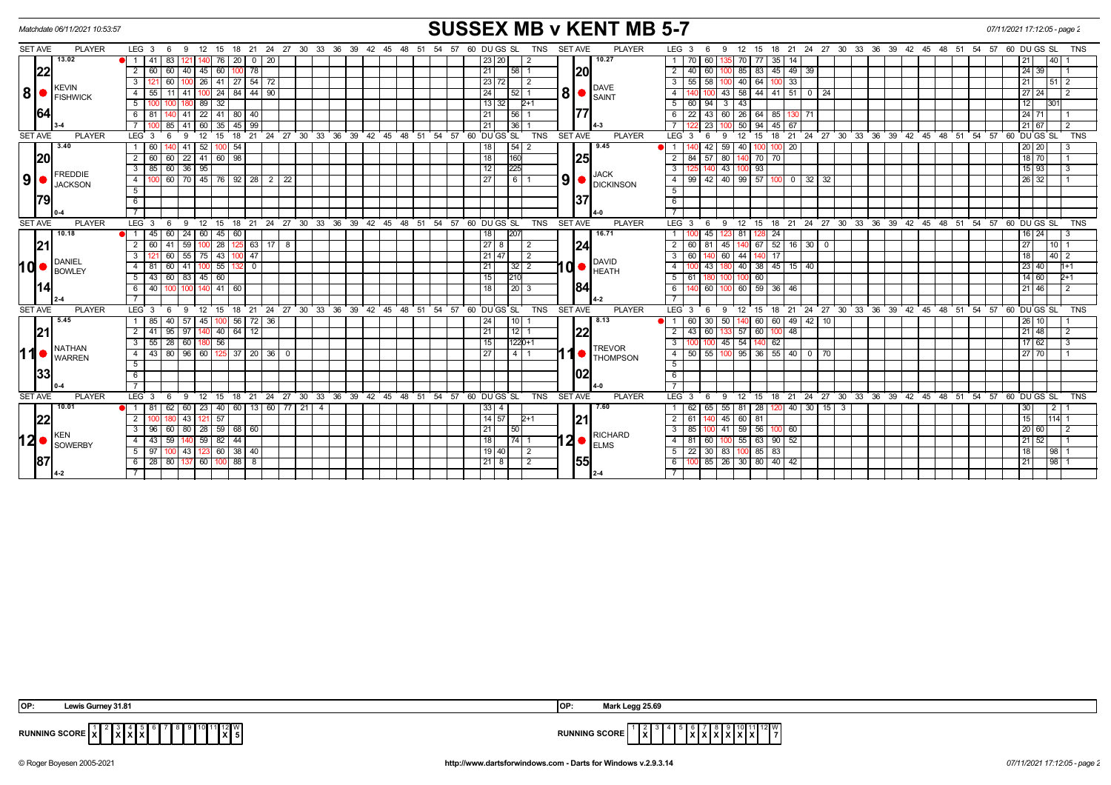|                | <b>SUSSEX MB v KENT MB 5-7</b><br>07/11/2021 17:12:05 - page 2<br>Matchdate 06/11/2021 10:53:57 |                 |                         |                             |                                      |                       |                     |                |                                     |          |       |  |                                                           |                      |      |     |      |    |     |                 |                   |            |                |             |                 |                           |    |                                                      |                     |             |                 |                     |          |       |    |       |       |                                                      |       |                   |                 |                |
|----------------|-------------------------------------------------------------------------------------------------|-----------------|-------------------------|-----------------------------|--------------------------------------|-----------------------|---------------------|----------------|-------------------------------------|----------|-------|--|-----------------------------------------------------------|----------------------|------|-----|------|----|-----|-----------------|-------------------|------------|----------------|-------------|-----------------|---------------------------|----|------------------------------------------------------|---------------------|-------------|-----------------|---------------------|----------|-------|----|-------|-------|------------------------------------------------------|-------|-------------------|-----------------|----------------|
| <b>SET AVE</b> |                                                                                                 | <b>PLAYER</b>   | LEG <sub>3</sub>        | - 6                         | 9                                    | 15<br>12              | 18                  | 21             | 24 27 30                            |          | 33    |  | 36 39                                                     | 42<br>45             | 48   | -51 | 54   | 57 |     | 60 DU GS SL     |                   | <b>TNS</b> | <b>SET AVE</b> |             | <b>PLAYER</b>   | LEG <sub>3</sub>          |    | 6<br>-9                                              | 12 <sup>2</sup>     | 15          | 18              | 21                  | 24 27 30 | 33 36 | 39 | 42 45 | 48 51 | 54                                                   | 57    | 60 DU GS SL       |                 | TNS            |
|                | 13.02                                                                                           |                 | 41                      | 83                          |                                      | 140  76               | 20 <sub>1</sub>     |                | $0 \mid 20$                         |          |       |  |                                                           |                      |      |     |      |    |     | 23 20           | 2                 |            |                |             | 10.27           | $1 \quad$                 | 70 | 60                                                   | 70                  | -77         | $35 \mid$       | 14                  |          |       |    |       |       |                                                      |       | 21                | 40              |                |
|                | 22                                                                                              |                 | 2   60   60             |                             | $40 \mid 45 \mid 60 \mid$            |                       |                     | $100$ 78       |                                     |          |       |  |                                                           |                      |      |     |      |    | 21  |                 | 58 1              |            |                | 20          |                 | $\overline{2}$            | 40 | 60                                                   |                     |             |                 | 100 85 83 45 49 39  |          |       |    |       |       |                                                      |       | $\sqrt{24}$ 39    | $\overline{11}$ |                |
|                | <b>KEVIN</b>                                                                                    |                 | $\overline{3}$          | 60                          |                                      | 41 <br>26 I           | $\sqrt{27}$         |                | $154$ 72                            |          |       |  |                                                           |                      |      |     |      |    |     | 23 72           | $\vert$ 2         |            |                |             |                 |                           | 55 | 58                                                   | 40                  | 64          |                 | 33                  |          |       |    |       |       |                                                      |       | 21                | 51 2            |                |
| 8              | <b>IFISHWICK</b>                                                                                |                 |                         | 41   100   24<br>4 55<br>11 |                                      | 84   44   90          |                     |                |                                     |          |       |  |                                                           |                      | 24   |     | 52 1 |    |     |                 | DAVE              | 4          |                |             |                 |                           |    | 43 58 44 41 51 0 24                                  |                     |             |                 |                     |          |       |    | 27 24 |       | $\overline{12}$                                      |       |                   |                 |                |
|                |                                                                                                 |                 | 5                       |                             |                                      | 32<br>-89 I           |                     |                |                                     |          |       |  |                                                           |                      |      |     |      |    |     | 13 32           | $2+1$             |            |                |             |                 |                           | 60 | 94<br>3                                              | 43                  |             |                 |                     |          |       |    |       |       |                                                      |       | 12                | 1301            |                |
| 64             |                                                                                                 |                 | 6   81                  |                             |                                      |                       | $41 \ 22 \ 41 \ 80$ | 40             |                                     |          |       |  |                                                           |                      |      |     |      |    | 21  |                 | 15611             |            |                |             |                 | 6 I                       |    | 22 43 60 26 64 85 130 71                             |                     |             |                 |                     |          |       |    |       |       |                                                      |       | 24 71             |                 | - 1            |
|                |                                                                                                 |                 |                         | 85                          | 41                                   | 35                    | 45                  | 99             |                                     |          |       |  |                                                           |                      |      |     |      |    | 21  | 36 <sup>1</sup> |                   |            |                |             |                 |                           |    | $\overline{23}$                                      | 50 l                | 94          | 45 67           |                     |          |       |    |       |       |                                                      |       | 21 67             |                 | 2              |
| <b>SET AVE</b> |                                                                                                 | <b>PLAYER</b>   | LEG <sup>3</sup>        |                             | <b>q</b>                             | 12<br>15              | 18                  | 21             | 24 27 30 33 36 39 42 45 48 51 54    |          |       |  |                                                           |                      |      |     |      | 57 |     | 60 DUGS SL      |                   | <b>TNS</b> | <b>SET AVE</b> |             | <b>PLAYER</b>   | $LEG \ 3$                 |    | 6                                                    | 12                  | 15          |                 |                     |          |       |    |       |       | 18 21 24 27 30 33 36 39 42 45 48 51 54 57 60 DUGS SL |       |                   |                 | <b>TNS</b>     |
|                | 3.40                                                                                            |                 | $\overline{1}$<br>60    |                             | 41                                   | 52                    | 54                  |                |                                     |          |       |  |                                                           |                      |      |     |      |    | 18  |                 | 54 2              |            |                |             | 9.45            |                           |    | 42<br>59                                             | 40                  |             |                 | 20                  |          |       |    |       |       |                                                      |       | 20 20             |                 | -3             |
|                | 20                                                                                              |                 | 2   60                  | 60                          | 22 41 60 98                          |                       |                     |                |                                     |          |       |  |                                                           |                      |      |     |      |    | 18  | 160             |                   |            |                | 125         |                 |                           |    | 2 84 57 80                                           |                     | 140 70 70   |                 |                     |          |       |    |       |       |                                                      |       | $\frac{1}{18}$ 70 |                 | $\overline{1}$ |
|                |                                                                                                 | <b>FREDDIE</b>  | $\overline{\mathbf{3}}$ | 60<br>$36$ 95<br>85         |                                      |                       |                     |                |                                     |          |       |  |                                                           |                      |      |     |      | 12 | 225 |                 |                   |            |                | <b>JACK</b> |                 |                           | 43 |                                                      | 93                  |             |                 |                     |          |       |    |       |       |                                                      | 15 93 |                   | 3               |                |
| 9 <sub>l</sub> |                                                                                                 | <b>JACKSON</b>  | $\overline{4}$          |                             | 60 70 45 76 92 28 2 22               |                       |                     |                |                                     |          |       |  |                                                           |                      |      |     |      |    | 27  |                 | 611               |            | 9              |             | DICKINSON       | 4                         | 99 | 42                                                   |                     |             |                 | $40$ 99 57 100 0 32 | 32       |       |    |       |       |                                                      |       | 26 32             |                 |                |
|                |                                                                                                 |                 | 5                       |                             |                                      |                       |                     |                |                                     |          |       |  |                                                           |                      |      |     |      |    |     |                 |                   |            |                |             |                 | 5                         |    |                                                      |                     |             |                 |                     |          |       |    |       |       |                                                      |       |                   |                 |                |
|                | <b>1791</b>                                                                                     |                 | 6                       |                             |                                      |                       |                     |                |                                     |          |       |  |                                                           |                      |      |     |      |    |     |                 |                   |            |                | 137         |                 | 6                         |    |                                                      |                     |             |                 |                     |          |       |    |       |       |                                                      |       |                   |                 |                |
|                |                                                                                                 |                 |                         |                             |                                      |                       |                     |                |                                     |          |       |  |                                                           |                      |      |     |      |    |     |                 |                   |            |                |             |                 |                           |    |                                                      |                     |             |                 |                     |          |       |    |       |       |                                                      |       |                   |                 |                |
| <b>SET AVE</b> |                                                                                                 | <b>PLAYER</b>   | $LEG$ 3                 | - 6                         | -9                                   | 12 <sup>1</sup><br>15 |                     | 18 21          | $124$ 27 30 33 36 39 42 45 48 51 54 |          |       |  |                                                           |                      |      |     |      | 57 |     | 60 DU GS SL     |                   | TNS        | SET AVE        |             | <b>PLAYER</b>   | $LEG$ 3                   |    | -9<br>- 6                                            | 12                  | 15          |                 |                     |          |       |    |       |       | 18 21 24 27 30 33 36 39 42 45 48 51 54 57 60 DUGS SL |       |                   |                 | <b>TNS</b>     |
|                |                                                                                                 | 10.18<br>DANIEL | <b>ei</b> 1<br>45       | 60                          | $24 \mid 60 \mid$                    | 45                    | 60                  |                |                                     |          |       |  |                                                           |                      |      |     |      |    | 18  | 20              |                   |            |                |             | 16.71           |                           |    | 45                                                   | 23 81               |             | 24              |                     |          |       |    |       |       |                                                      |       | $16$   24         |                 | -3             |
|                | 21                                                                                              |                 | 2 60                    | 41                          | 591100                               | 28                    | 125                 |                | 63   17   8                         |          |       |  |                                                           |                      |      |     |      |    |     | $\sqrt{27}$ 8   | $\sqrt{2}$        |            |                | 24          |                 | <sup>2</sup>              | 60 | 81<br>45 I                                           |                     | 67          |                 | $52$ 16 30 0        |          |       |    |       |       |                                                      |       | 27                | 10 1            |                |
|                |                                                                                                 |                 | $\overline{3}$          | 60                          | $55$ 75                              | 43                    |                     | 47             |                                     |          |       |  | 21 47<br>$\overline{2}$<br>$\overline{3}$<br><b>DAVID</b> | 60                   | 60 l | 44  |      | 17 |     |                 |                   |            |                |             |                 |                           | 18 | 40 2                                                 |                     |             |                 |                     |          |       |    |       |       |                                                      |       |                   |                 |                |
| hd             | <b>BOWLEY</b>                                                                                   |                 | 4<br>81                 | 60                          | 41                                   | 55                    |                     | $\overline{0}$ |                                     |          |       |  |                                                           |                      |      |     |      |    | 21  |                 | $32$   2          |            | nd•l           |             | <b>HEATH</b>    | 4                         |    | 43                                                   |                     |             |                 | 40 38 45 15 40      |          |       |    |       |       |                                                      |       | $\sqrt{23}$ 40    |                 | $h+1$          |
|                |                                                                                                 |                 | 5 <sup>5</sup><br> 43   | 60 83 45 60                 |                                      |                       |                     |                |                                     |          |       |  |                                                           |                      |      |     |      | 15 | 210 |                 |                   |            |                |             | $5-1$           | 61                        |    |                                                      | 60                  |             |                 |                     |          |       |    |       |       |                                                      | 14 60 |                   | $2+1$           |                |
|                |                                                                                                 |                 | 40<br>6                 | 100                         |                                      |                       | $141$ 60            |                |                                     |          |       |  |                                                           |                      |      |     |      |    | 18  |                 | $201$ 3           |            |                | 184         |                 | 6                         |    | 60                                                   |                     | 60 59 36 46 |                 |                     |          |       |    |       |       |                                                      |       | 21 46             |                 | 2              |
|                |                                                                                                 |                 |                         |                             |                                      |                       |                     |                |                                     |          |       |  |                                                           |                      |      |     |      |    |     |                 |                   |            |                |             |                 |                           |    |                                                      |                     |             |                 |                     |          |       |    |       |       |                                                      |       |                   |                 |                |
| <b>SET AVE</b> |                                                                                                 | <b>PLAYER</b>   | $LEG$ 3                 | - 6                         | 9                                    | 12<br>15              |                     | 18 21          | 24 27 30 33 36 39 42 45 48 51 54    |          |       |  |                                                           |                      |      |     | 57   |    |     | 60 DU GS SL     |                   | <b>TNS</b> | <b>SET AVE</b> |             | <b>PLAYER</b>   | LEG <sub>3</sub>          |    | 6<br>9                                               | 12                  | 15          |                 |                     |          |       |    |       |       | 18 21 24 27 30 33 36 39 42 45 48 51 54 57 60 DUGS SL |       |                   |                 | <b>TNS</b>     |
|                | 5.45                                                                                            |                 | 85<br>$\overline{1}$    | 40                          | $57$ 45                              |                       | 100 I               |                | $56$   72   36                      |          |       |  |                                                           |                      |      |     |      |    | 24  | l 10 l          |                   |            |                |             | 8.13            |                           | 60 | 30<br>50                                             |                     | 60          |                 | 60 49 42            | 10       |       |    |       |       |                                                      |       | 26 10             |                 |                |
| 21             |                                                                                                 |                 | 2<br>l 41               | 95                          | 97                                   | 40                    | 64                  | 12             |                                     |          |       |  |                                                           |                      |      |     |      |    | 21  |                 | $12$ 1            |            |                | 122         |                 | $\overline{2}$            | 43 | 60                                                   | 57                  | 60          |                 | 48                  |          |       |    |       |       |                                                      |       | 21 48             |                 | 2              |
|                | <b>NATHAN</b>                                                                                   |                 | 3<br>55                 | $28 \mid$                   | 60   180   56                        |                       |                     |                |                                     |          |       |  |                                                           |                      |      |     |      |    | 15  |                 | $1220+1$          |            |                |             | <b>TREVOR</b>   |                           |    |                                                      | 45 54               |             | 62              |                     |          |       |    |       |       |                                                      |       | 17 62             |                 | 3              |
| 11             | <b>WARREN</b>                                                                                   |                 | 43 I<br>$\overline{4}$  | 80                          | 96   60                              |                       | $125$ 37            |                | 20   36                             | $\Omega$ |       |  |                                                           |                      |      |     |      |    | 27  |                 | 4   1             |            |                |             | <b>THOMPSON</b> | $\overline{4}$            | 50 | 55                                                   | 100 95 36 55 40     |             |                 | $\mathbf 0$         |          |       |    |       |       |                                                      |       | 27 70             |                 |                |
|                |                                                                                                 |                 | 5                       |                             |                                      |                       |                     |                |                                     |          |       |  |                                                           |                      |      |     |      |    |     |                 |                   |            |                |             |                 | $5^{\circ}$               |    |                                                      |                     |             |                 |                     |          |       |    |       |       |                                                      |       |                   |                 |                |
|                | 133                                                                                             |                 | 6                       |                             |                                      |                       |                     |                |                                     |          |       |  |                                                           |                      |      |     |      |    |     |                 |                   |            |                | 102         |                 | 6                         |    |                                                      |                     |             |                 |                     |          |       |    |       |       |                                                      |       |                   |                 |                |
|                |                                                                                                 |                 |                         |                             |                                      |                       |                     |                |                                     |          |       |  |                                                           |                      |      |     |      |    |     |                 |                   |            |                |             |                 |                           |    |                                                      |                     |             |                 |                     |          |       |    |       |       |                                                      |       |                   |                 |                |
| <b>SET AVE</b> |                                                                                                 | <b>PLAYER</b>   | $LEG_3$                 | - 6                         | 9                                    | $12^{\circ}$<br>15    | 18                  | 21             | $24$ 27                             |          | 30 33 |  |                                                           | 36 39 42 45 48 51 54 |      |     | 57   |    |     | 60 DU GS SL     |                   | <b>TNS</b> | <b>SET AVE</b> |             | <b>PLAYER</b>   | LEG <sub>3</sub>          |    | 9<br>6                                               | 12                  | 15          | 18              |                     |          |       |    |       |       | 21 24 27 30 33 36 39 42 45 48 51 54 57 60 DUGS SL    |       |                   |                 | <b>TNS</b>     |
|                | 10.01                                                                                           |                 | 81<br>OI 1              | 62                          | 60   23   40                         |                       |                     |                | 60   13   60   77   21   4          |          |       |  |                                                           |                      |      |     |      |    |     | $33$   4        |                   |            |                |             | 7.60            |                           | 62 | 65                                                   | 55 81               | 28 120      |                 | 40 30               | $15$ 3   |       |    |       |       |                                                      |       | 30                | l 2 l           |                |
|                | 22                                                                                              |                 | $\overline{2}$          |                             | 43   121                             | 57                    |                     |                |                                     |          |       |  |                                                           |                      |      |     |      |    |     | 14 57           | $2+1$             |            |                | 21          |                 | $\overline{2}$            | 61 |                                                      | 45 60 81            |             |                 |                     |          |       |    |       |       |                                                      |       | 15                | $1114$ 1        |                |
|                | KEN                                                                                             |                 |                         |                             | 3   96   60   80   28   59   68   60 |                       |                     |                |                                     |          |       |  |                                                           |                      |      |     |      |    | 21  | l 50            |                   |            |                |             | RICHARD         | $\overline{\phantom{a}3}$ | 85 | 100                                                  | $ 41 $ 59 56 100 60 |             |                 |                     |          |       |    |       |       |                                                      |       | 20   60           |                 | 2              |
| 12             |                                                                                                 | <b>SOWERBY</b>  | 43<br>$\overline{4}$    | 59                          |                                      | 59 82                 | 44                  |                |                                     |          |       |  |                                                           |                      |      |     |      |    | 18  |                 | $\overline{74}$ 1 |            | I2 ●           |             | <b>ELMS</b>     | 4                         | 81 | 60                                                   | 55                  | 63          | $\boxed{90}$ 52 |                     |          |       |    |       |       |                                                      |       | 21 52             |                 |                |
|                |                                                                                                 |                 | 5   97                  | 100 l                       | 43   123   60   38   40              |                       |                     |                |                                     |          |       |  |                                                           |                      |      |     |      |    |     | 19 40           | $\overline{2}$    |            |                |             |                 |                           |    | $5 \mid 22 \mid 30 \mid 83 \mid 100 \mid 85 \mid 83$ |                     |             |                 |                     |          |       |    |       |       |                                                      |       | 18                | 98 1            |                |
| 187            |                                                                                                 |                 | $6$   28   80           |                             |                                      |                       | $137$ 60 100 88 8   |                |                                     |          |       |  |                                                           |                      |      |     |      |    |     | 21 8            | $\sqrt{2}$        |            |                | 155         |                 | 6                         |    | $100$ 85 $26$ 30 80 40 42                            |                     |             |                 |                     |          |       |    |       |       |                                                      |       | 21                | 98 1            |                |
|                |                                                                                                 |                 |                         |                             |                                      |                       |                     |                |                                     |          |       |  |                                                           |                      |      |     |      |    |     |                 |                   |            |                |             |                 |                           |    |                                                      |                     |             |                 |                     |          |       |    |       |       |                                                      |       |                   |                 |                |

| $C_{11}$ $C_{21}$ $D_{31}$ $D_{41}$<br>IOP:<br><b>CALLE</b><br>7 VV 12 | Legg 25.69<br><b>IOF</b>                                    |
|------------------------------------------------------------------------|-------------------------------------------------------------|
| <b>RUNNING SCORE</b><br>.<br>$\overline{ }$                            | 2 I V<br><b>RUNNING SCORE</b><br>$\check{}$<br>$\mathbf{L}$ |